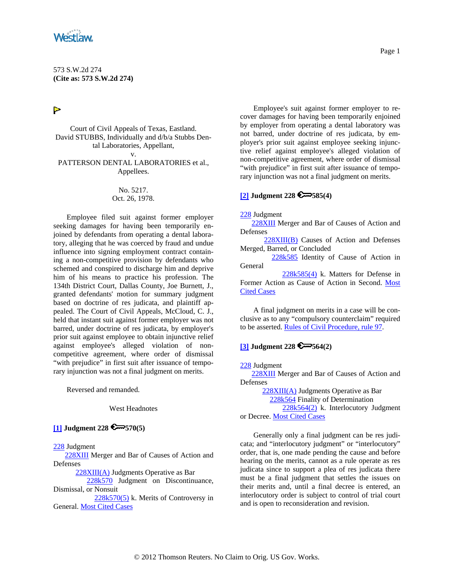<span id="page-0-0"></span>

573 S.W.2d 274 **(Cite as: 573 S.W.2d 274)**

 $\triangleright$ 

Court of Civil Appeals of Texas, Eastland. David STUBBS, Individually and d/b/a Stubbs Dental Laboratories, Appellant, v.

PATTERSON DENTAL LABORATORIES et al., Appellees.

### No. 5217. Oct. 26, 1978.

Employee filed suit against former employer seeking damages for having been temporarily enjoined by defendants from operating a dental laboratory, alleging that he was coerced by fraud and undue influence into signing employment contract containing a non-competitive provision by defendants who schemed and conspired to discharge him and deprive him of his means to practice his profession. The 134th District Court, Dallas County, Joe Burnett, J., granted defendants' motion for summary judgment based on doctrine of res judicata, and plaintiff appealed. The Court of Civil Appeals, McCloud, C. J., held that instant suit against former employer was not barred, under doctrine of res judicata, by employer's prior suit against employee to obtain injunctive relief against employee's alleged violation of noncompetitive agreement, where order of dismissal "with prejudice" in first suit after issuance of temporary injunction was not a final judgment on merits.

Reversed and remanded.

West Headnotes

## **[\[1\]](#page-1-0) Judgment 228 570(5)**

[228](http://www.westlaw.com/KeyNumber/Default.wl?rs=dfa1.0&vr=2.0&CMD=KEY&DocName=228) Judgment

[228XIII](http://www.westlaw.com/KeyNumber/Default.wl?rs=dfa1.0&vr=2.0&CMD=KEY&DocName=228XIII) Merger and Bar of Causes of Action and Defenses

[228XIII\(A\)](http://www.westlaw.com/KeyNumber/Default.wl?rs=dfa1.0&vr=2.0&CMD=KEY&DocName=228XIII%28A%29) Judgments Operative as Bar

 [228k570](http://www.westlaw.com/KeyNumber/Default.wl?rs=dfa1.0&vr=2.0&CMD=KEY&DocName=228k570) Judgment on Discontinuance, Dismissal, or Nonsuit

 [228k570\(5\)](http://www.westlaw.com/KeyNumber/Default.wl?rs=dfa1.0&vr=2.0&CMD=KEY&DocName=228k570%285%29) k. Merits of Controversy in General. [Most Cited Cases](http://www.westlaw.com/Digest/Default.wl?rs=dfa1.0&vr=2.0&CMD=MCC&DocName=228k570%285%29)

Employee's suit against former employer to recover damages for having been temporarily enjoined by employer from operating a dental laboratory was not barred, under doctrine of res judicata, by employer's prior suit against employee seeking injunctive relief against employee's alleged violation of non-competitive agreement, where order of dismissal "with prejudice" in first suit after issuance of temporary injunction was not a final judgment on merits.

## **[\[2\]](#page-1-0) Judgment 228 585(4)**

[228](http://www.westlaw.com/KeyNumber/Default.wl?rs=dfa1.0&vr=2.0&CMD=KEY&DocName=228) Judgment

 [228XIII](http://www.westlaw.com/KeyNumber/Default.wl?rs=dfa1.0&vr=2.0&CMD=KEY&DocName=228XIII) Merger and Bar of Causes of Action and Defenses

[228XIII\(B\)](http://www.westlaw.com/KeyNumber/Default.wl?rs=dfa1.0&vr=2.0&CMD=KEY&DocName=228XIII%28B%29) Causes of Action and Defenses Merged, Barred, or Concluded

[228k585](http://www.westlaw.com/KeyNumber/Default.wl?rs=dfa1.0&vr=2.0&CMD=KEY&DocName=228k585) Identity of Cause of Action in General

 [228k585\(4\)](http://www.westlaw.com/KeyNumber/Default.wl?rs=dfa1.0&vr=2.0&CMD=KEY&DocName=228k585%284%29) k. Matters for Defense in Former Action as Cause of Action in Second. [Most](http://www.westlaw.com/Digest/Default.wl?rs=dfa1.0&vr=2.0&CMD=MCC&DocName=228k585%284%29)  [Cited Cases](http://www.westlaw.com/Digest/Default.wl?rs=dfa1.0&vr=2.0&CMD=MCC&DocName=228k585%284%29)

A final judgment on merits in a case will be conclusive as to any "compulsory counterclaim" required to be asserted. [Rules of Civil Procedure, rule 97.](http://www.westlaw.com/Find/Default.wl?rs=dfa1.0&vr=2.0&DB=1005302&DocName=TXRRCPR97&FindType=L)

## **[\[3\]](#page-1-0) Judgment 228 564(2)**

[228](http://www.westlaw.com/KeyNumber/Default.wl?rs=dfa1.0&vr=2.0&CMD=KEY&DocName=228) Judgment

 [228XIII](http://www.westlaw.com/KeyNumber/Default.wl?rs=dfa1.0&vr=2.0&CMD=KEY&DocName=228XIII) Merger and Bar of Causes of Action and Defenses

 [228XIII\(A\)](http://www.westlaw.com/KeyNumber/Default.wl?rs=dfa1.0&vr=2.0&CMD=KEY&DocName=228XIII%28A%29) Judgments Operative as Bar [228k564](http://www.westlaw.com/KeyNumber/Default.wl?rs=dfa1.0&vr=2.0&CMD=KEY&DocName=228k564) Finality of Determination [228k564\(2\)](http://www.westlaw.com/KeyNumber/Default.wl?rs=dfa1.0&vr=2.0&CMD=KEY&DocName=228k564%282%29) k. Interlocutory Judgment or Decree. [Most Cited Cases](http://www.westlaw.com/Digest/Default.wl?rs=dfa1.0&vr=2.0&CMD=MCC&DocName=228k564%282%29)

Generally only a final judgment can be res judicata; and "interlocutory judgment" or "interlocutory" order, that is, one made pending the cause and before hearing on the merits, cannot as a rule operate as res judicata since to support a plea of res judicata there must be a final judgment that settles the issues on their merits and, until a final decree is entered, an interlocutory order is subject to control of trial court and is open to reconsideration and revision.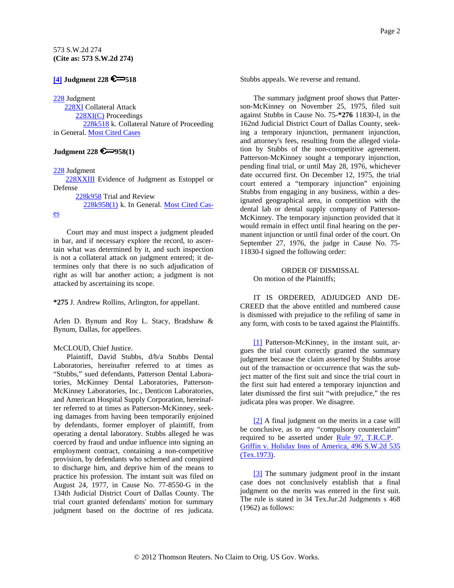# <span id="page-1-0"></span>**[\[4\]](#page-2-0) Judgment 228 518**

#### [228](http://www.westlaw.com/KeyNumber/Default.wl?rs=dfa1.0&vr=2.0&CMD=KEY&DocName=228) Judgment

 [228XI](http://www.westlaw.com/KeyNumber/Default.wl?rs=dfa1.0&vr=2.0&CMD=KEY&DocName=228XI) Collateral Attack [228XI\(C\)](http://www.westlaw.com/KeyNumber/Default.wl?rs=dfa1.0&vr=2.0&CMD=KEY&DocName=228XI%28C%29) Proceedings [228k518](http://www.westlaw.com/KeyNumber/Default.wl?rs=dfa1.0&vr=2.0&CMD=KEY&DocName=228k518) k. Collateral Nature of Proceeding in General. [Most Cited Cases](http://www.westlaw.com/Digest/Default.wl?rs=dfa1.0&vr=2.0&CMD=MCC&DocName=228k518)

## **Judgment 228 958(1)**

#### [228](http://www.westlaw.com/KeyNumber/Default.wl?rs=dfa1.0&vr=2.0&CMD=KEY&DocName=228) Judgment

 [228XXIII](http://www.westlaw.com/KeyNumber/Default.wl?rs=dfa1.0&vr=2.0&CMD=KEY&DocName=228XXIII) Evidence of Judgment as Estoppel or Defense

[228k958](http://www.westlaw.com/KeyNumber/Default.wl?rs=dfa1.0&vr=2.0&CMD=KEY&DocName=228k958) Trial and Review

[228k958\(1\)](http://www.westlaw.com/KeyNumber/Default.wl?rs=dfa1.0&vr=2.0&CMD=KEY&DocName=228k958%281%29) k. In General. [Most Cited Cas-](http://www.westlaw.com/Digest/Default.wl?rs=dfa1.0&vr=2.0&CMD=MCC&DocName=228k958%281%29)

#### [es](http://www.westlaw.com/Digest/Default.wl?rs=dfa1.0&vr=2.0&CMD=MCC&DocName=228k958%281%29)

Court may and must inspect a judgment pleaded in bar, and if necessary explore the record, to ascertain what was determined by it, and such inspection is not a collateral attack on judgment entered; it determines only that there is no such adjudication of right as will bar another action; a judgment is not attacked by ascertaining its scope.

**\*275** J. Andrew Rollins, Arlington, for appellant.

Arlen D. Bynum and Roy L. Stacy, Bradshaw & Bynum, Dallas, for appellees.

### McCLOUD, Chief Justice.

Plaintiff, David Stubbs, d/b/a Stubbs Dental Laboratories, hereinafter referred to at times as "Stubbs," sued defendants, Patterson Dental Laboratories, McKinney Dental Laboratories, Patterson-McKinney Laboratories, Inc., Denticon Laboratories, and American Hospital Supply Corporation, hereinafter referred to at times as Patterson-McKinney, seeking damages from having been temporarily enjoined by defendants, former employer of plaintiff, from operating a dental laboratory. Stubbs alleged he was coerced by fraud and undue influence into signing an employment contract, containing a non-competitive provision, by defendants who schemed and conspired to discharge him, and deprive him of the means to practice his profession. The instant suit was filed on August 24, 1977, in Cause No. 77-8550-G in the 134th Judicial District Court of Dallas County. The trial court granted defendants' motion for summary judgment based on the doctrine of res judicata. Stubbs appeals. We reverse and remand.

The summary judgment proof shows that Patterson-McKinney on November 25, 1975, filed suit against Stubbs in Cause No. 75-**\*276** 11830-I, in the 162nd Judicial District Court of Dallas County, seeking a temporary injunction, permanent injunction, and attorney's fees, resulting from the alleged violation by Stubbs of the non-competitive agreement. Patterson-McKinney sought a temporary injunction, pending final trial, or until May 28, 1976, whichever date occurred first. On December 12, 1975, the trial court entered a "temporary injunction" enjoining Stubbs from engaging in any business, within a designated geographical area, in competition with the dental lab or dental supply company of Patterson-McKinney. The temporary injunction provided that it would remain in effect until final hearing on the permanent injunction or until final order of the court. On September 27, 1976, the judge in Cause No. 75- 11830-I signed the following order:

ORDER OF DISMISSAL On motion of the Plaintiffs;

IT IS ORDERED, ADJUDGED AND DE-CREED that the above entitled and numbered cause is dismissed with prejudice to the refiling of same in any form, with costs to be taxed against the Plaintiffs.

[\[1\]](#page-0-0) Patterson-McKinney, in the instant suit, argues the trial court correctly granted the summary judgment because the claim asserted by Stubbs arose out of the transaction or occurrence that was the subject matter of the first suit and since the trial court in the first suit had entered a temporary injunction and later dismissed the first suit "with prejudice," the res judicata plea was proper. We disagree.

[\[2\]](#page-0-0) A final judgment on the merits in a case will be conclusive, as to any "compulsory counterclaim" required to be asserted under [Rule 97, T.R.C.P.](http://www.westlaw.com/Find/Default.wl?rs=dfa1.0&vr=2.0&DB=1005302&DocName=TXRRCPR97&FindType=L) [Griffin v. Holiday Inns of America, 496 S.W.2d 535](http://www.westlaw.com/Find/Default.wl?rs=dfa1.0&vr=2.0&DB=713&FindType=Y&SerialNum=1973130821)  [\(Tex.1973\).](http://www.westlaw.com/Find/Default.wl?rs=dfa1.0&vr=2.0&DB=713&FindType=Y&SerialNum=1973130821)

[\[3\]](#page-0-0) The summary judgment proof in the instant case does not conclusively establish that a final judgment on the merits was entered in the first suit. The rule is stated in 34 Tex.Jur.2d Judgments s 468 (1962) as follows: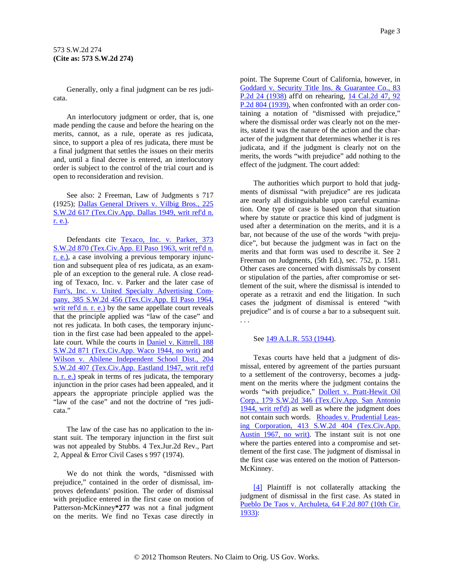<span id="page-2-0"></span>Generally, only a final judgment can be res judicata.

An interlocutory judgment or order, that is, one made pending the cause and before the hearing on the merits, cannot, as a rule, operate as res judicata, since, to support a plea of res judicata, there must be a final judgment that settles the issues on their merits and, until a final decree is entered, an interlocutory order is subject to the control of the trial court and is open to reconsideration and revision.

See also: 2 Freeman, Law of Judgments s 717 (1925); [Dallas General Drivers v. Vilbig Bros., 225](http://www.westlaw.com/Find/Default.wl?rs=dfa1.0&vr=2.0&DB=713&FindType=Y&SerialNum=1950121210)  [S.W.2d 617 \(Tex.Civ.App. Dallas 1949, writ ref'd n.](http://www.westlaw.com/Find/Default.wl?rs=dfa1.0&vr=2.0&DB=713&FindType=Y&SerialNum=1950121210)  [r. e.\).](http://www.westlaw.com/Find/Default.wl?rs=dfa1.0&vr=2.0&DB=713&FindType=Y&SerialNum=1950121210)

Defendants cite Texaco, Inc. v. Parker, 373 [S.W.2d 870 \(Tex.Civ.App. El Paso 1963, writ ref'd n.](http://www.westlaw.com/Find/Default.wl?rs=dfa1.0&vr=2.0&DB=713&FindType=Y&SerialNum=1963129333)  [r. e.\),](http://www.westlaw.com/Find/Default.wl?rs=dfa1.0&vr=2.0&DB=713&FindType=Y&SerialNum=1963129333) a case involving a previous temporary injunction and subsequent plea of res judicata, as an example of an exception to the general rule. A close reading of Texaco, Inc. v. Parker and the later case of [Furr's, Inc. v. United Specialty Advertising Com](http://www.westlaw.com/Find/Default.wl?rs=dfa1.0&vr=2.0&DB=713&FindType=Y&SerialNum=1964129252)[pany, 385 S.W.2d 456 \(Tex.Civ.App. El Paso 1964,](http://www.westlaw.com/Find/Default.wl?rs=dfa1.0&vr=2.0&DB=713&FindType=Y&SerialNum=1964129252)  [writ ref'd n. r. e.\)](http://www.westlaw.com/Find/Default.wl?rs=dfa1.0&vr=2.0&DB=713&FindType=Y&SerialNum=1964129252) by the same appellate court reveals that the principle applied was "law of the case" and not res judicata. In both cases, the temporary injunction in the first case had been appealed to the appellate court. While the courts in **Daniel v. Kittrell**, 188 [S.W.2d 871 \(Tex.Civ.App. Waco 1944, no writ\)](http://www.westlaw.com/Find/Default.wl?rs=dfa1.0&vr=2.0&DB=713&FindType=Y&SerialNum=1945117842) and [Wilson v. Abilene Independent School Dist., 204](http://www.westlaw.com/Find/Default.wl?rs=dfa1.0&vr=2.0&DB=713&FindType=Y&SerialNum=1947119202)  [S.W.2d 407 \(Tex.Civ.App. Eastland 1947, writ ref'd](http://www.westlaw.com/Find/Default.wl?rs=dfa1.0&vr=2.0&DB=713&FindType=Y&SerialNum=1947119202)  [n. r. e.\)](http://www.westlaw.com/Find/Default.wl?rs=dfa1.0&vr=2.0&DB=713&FindType=Y&SerialNum=1947119202) speak in terms of res judicata, the temporary injunction in the prior cases had been appealed, and it appears the appropriate principle applied was the "law of the case" and not the doctrine of "res judicata."

The law of the case has no application to the instant suit. The temporary injunction in the first suit was not appealed by Stubbs. 4 Tex.Jur.2d Rev., Part 2, Appeal & Error Civil Cases s 997 (1974).

We do not think the words, "dismissed with prejudice," contained in the order of dismissal, improves defendants' position. The order of dismissal with prejudice entered in the first case on motion of Patterson-McKinney**\*277** was not a final judgment on the merits. We find no Texas case directly in

point. The Supreme Court of California, however, in [Goddard v. Security Title Ins. & Guarantee Co., 83](http://www.westlaw.com/Find/Default.wl?rs=dfa1.0&vr=2.0&DB=661&FindType=Y&SerialNum=1938000049)  [P.2d 24 \(1938\)](http://www.westlaw.com/Find/Default.wl?rs=dfa1.0&vr=2.0&DB=661&FindType=Y&SerialNum=1938000049) aff'd on rehearing, [14 Cal.2d 47, 92](http://www.westlaw.com/Find/Default.wl?rs=dfa1.0&vr=2.0&DB=661&FindType=Y&SerialNum=1939118974)  [P.2d 804 \(1939\)](http://www.westlaw.com/Find/Default.wl?rs=dfa1.0&vr=2.0&DB=661&FindType=Y&SerialNum=1939118974), when confronted with an order containing a notation of "dismissed with prejudice," where the dismissal order was clearly not on the merits, stated it was the nature of the action and the character of the judgment that determines whether it is res judicata, and if the judgment is clearly not on the merits, the words "with prejudice" add nothing to the effect of the judgment. The court added:

The authorities which purport to hold that judgments of dismissal "with prejudice" are res judicata are nearly all distinguishable upon careful examination. One type of case is based upon that situation where by statute or practice this kind of judgment is used after a determination on the merits, and it is a bar, not because of the use of the words "with prejudice", but because the judgment was in fact on the merits and that form was used to describe it. See 2 Freeman on Judgments, (5th Ed.), sec. 752, p. 1581. Other cases are concerned with dismissals by consent or stipulation of the parties, after compromise or settlement of the suit, where the dismissal is intended to operate as a retraxit and end the litigation. In such cases the judgment of dismissal is entered "with prejudice" and is of course a bar to a subsequent suit. . . .

#### See [149 A.L.R. 553 \(1944\).](http://www.westlaw.com/Find/Default.wl?rs=dfa1.0&vr=2.0&DB=104&DocName=149ALR553&FindType=Y)

Texas courts have held that a judgment of dismissal, entered by agreement of the parties pursuant to a settlement of the controversy, becomes a judgment on the merits where the judgment contains the words "with prejudice," [Dollert v. Pratt-Hewit Oil](http://www.westlaw.com/Find/Default.wl?rs=dfa1.0&vr=2.0&DB=713&FindType=Y&SerialNum=1944118799)  [Corp., 179 S.W.2d 346 \(Tex.Civ.App. San Antonio](http://www.westlaw.com/Find/Default.wl?rs=dfa1.0&vr=2.0&DB=713&FindType=Y&SerialNum=1944118799)  [1944, writ ref'd\)](http://www.westlaw.com/Find/Default.wl?rs=dfa1.0&vr=2.0&DB=713&FindType=Y&SerialNum=1944118799) as well as where the judgment does not contain such words. [Rhoades v. Prudential Leas](http://www.westlaw.com/Find/Default.wl?rs=dfa1.0&vr=2.0&DB=713&FindType=Y&SerialNum=1967132048)[ing Corporation, 413 S.W.2d 404 \(Tex.Civ.App.](http://www.westlaw.com/Find/Default.wl?rs=dfa1.0&vr=2.0&DB=713&FindType=Y&SerialNum=1967132048)  [Austin 1967, no writ\)](http://www.westlaw.com/Find/Default.wl?rs=dfa1.0&vr=2.0&DB=713&FindType=Y&SerialNum=1967132048). The instant suit is not one where the parties entered into a compromise and settlement of the first case. The judgment of dismissal in the first case was entered on the motion of Patterson-McKinney.

[\[4\]](#page-1-0) Plaintiff is not collaterally attacking the judgment of dismissal in the first case. As stated in [Pueblo De Taos v. Archuleta, 64 F.2d 807 \(10th Cir.](http://www.westlaw.com/Find/Default.wl?rs=dfa1.0&vr=2.0&DB=350&FindType=Y&SerialNum=1933126189)  [1933\)](http://www.westlaw.com/Find/Default.wl?rs=dfa1.0&vr=2.0&DB=350&FindType=Y&SerialNum=1933126189):